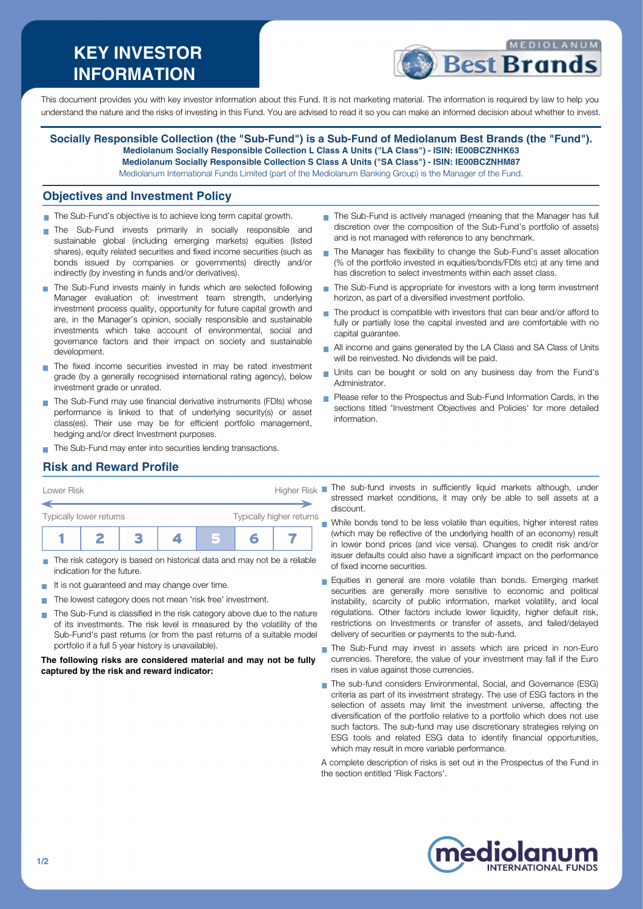# **KEY INVESTOR INFORMATION**



This document provides you with key investor information about this Fund. It is not marketing material. The information is required by law to help you understand the nature and the risks of investing in this Fund. You are advised to read it so you can make an informed decision about whether to invest.

**Socially Responsible Collection (the "Sub-Fund") is a Sub-Fund of Mediolanum Best Brands (the "Fund"). Mediolanum Socially Responsible Collection L Class A Units ("LA Class") - ISIN: IE00BCZNHK63 Mediolanum Socially Responsible Collection S Class A Units ("SA Class") - ISIN: IE00BCZNHM87** Mediolanum International Funds Limited (part of the Mediolanum Banking Group) is the Manager of the Fund.

#### **Objectives and Investment Policy**

- The Sub-Fund's objective is to achieve long term capital growth.
- The Sub-Fund invests primarily in socially responsible and sustainable global (including emerging markets) equities (listed shares), equity related securities and fixed income securities (such as bonds issued by companies or governments) directly and/or indirectly (by investing in funds and/or derivatives).
- The Sub-Fund invests mainly in funds which are selected following Manager evaluation of: investment team strength, underlying investment process quality, opportunity for future capital growth and are, in the Manager's opinion, socially responsible and sustainable investments which take account of environmental, social and governance factors and their impact on society and sustainable development.
- The fixed income securities invested in may be rated investment grade (by a generally recognised international rating agency), below investment grade or unrated.
- The Sub-Fund may use financial derivative instruments (FDIs) whose performance is linked to that of underlying security(s) or asset class(es). Their use may be for efficient portfolio management, hedging and/or direct Investment purposes.
- The Sub-Fund may enter into securities lending transactions.
- The Sub-Fund is actively managed (meaning that the Manager has full discretion over the composition of the Sub-Fund's portfolio of assets) and is not managed with reference to any benchmark.
- The Manager has flexibility to change the Sub-Fund's asset allocation (% of the portfolio invested in equities/bonds/FDIs etc) at any time and has discretion to select investments within each asset class.
- The Sub-Fund is appropriate for investors with a long term investment horizon, as part of a diversified investment portfolio.
- The product is compatible with investors that can bear and/or afford to fully or partially lose the capital invested and are comfortable with no capital guarantee.
- All income and gains generated by the LA Class and SA Class of Units will be reinvested. No dividends will be paid.
- Units can be bought or sold on any business day from the Fund's Administrator.
- **Please refer to the Prospectus and Sub-Fund Information Cards, in the** sections titled 'Investment Objectives and Policies' for more detailed information.

## **Risk and Reward Profile**

| Lower Risk              |                          |  |  | <b>Higher Risk</b> |  |  |  |
|-------------------------|--------------------------|--|--|--------------------|--|--|--|
| Typically lower returns | Typically higher returns |  |  |                    |  |  |  |
|                         |                          |  |  |                    |  |  |  |

- The risk category is based on historical data and may not be a reliable indication for the future.
- It is not quaranteed and may change over time.
- The lowest category does not mean 'risk free' investment.
- The Sub-Fund is classified in the risk category above due to the nature of its investments. The risk level is measured by the volatility of the Sub-Fund's past returns (or from the past returns of a suitable model portfolio if a full 5 year history is unavailable).

**The following risks are considered material and may not be fully captured by the risk and reward indicator:**

The sub-fund invests in sufficiently liquid markets although, under stressed market conditions, it may only be able to sell assets at a discount.

While bonds tend to be less volatile than equities, higher interest rates (which may be reflective of the underlying health of an economy) result in lower bond prices (and vice versa). Changes to credit risk and/or issuer defaults could also have a significant impact on the performance of fixed income securities.

- Equities in general are more volatile than bonds. Emerging market securities are generally more sensitive to economic and political instability, scarcity of public information, market volatility, and local regulations. Other factors include lower liquidity, higher default risk, restrictions on Investments or transfer of assets, and failed/delayed delivery of securities or payments to the sub-fund.
- The Sub-Fund may invest in assets which are priced in non-Euro currencies. Therefore, the value of your investment may fall if the Euro rises in value against those currencies.
- The sub-fund considers Environmental, Social, and Governance (ESG) criteria as part of its investment strategy. The use of ESG factors in the selection of assets may limit the investment universe, affecting the diversification of the portfolio relative to a portfolio which does not use such factors. The sub-fund may use discretionary strategies relying on ESG tools and related ESG data to identify financial opportunities, which may result in more variable performance.

A complete description of risks is set out in the Prospectus of the Fund in the section entitled 'Risk Factors'.